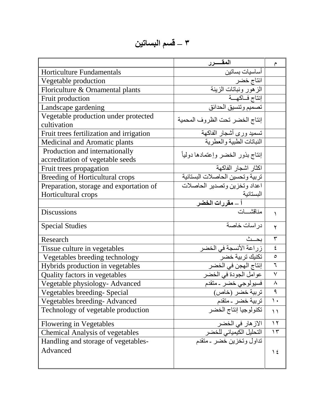## **3 – قسم البساتين**

|                                          | آلمقسرر                                               | م             |
|------------------------------------------|-------------------------------------------------------|---------------|
| <b>Horticulture Fundamentals</b>         | أساسيات بساتين                                        |               |
| Vegetable production                     | انتاج خضر                                             |               |
| Floriculture & Ornamental plants         | الزهور ونباتات الزينة                                 |               |
| Fruit production                         | إنتاج فاكهمة                                          |               |
| Landscape gardening                      | تصميم وتنسيق الحدائق                                  |               |
| Vegetable production under protected     | إنتاج الخضر تحت الظروف المحمية                        |               |
| cultivation                              |                                                       |               |
| Fruit trees fertilization and irrigation | تسميد ورى أشجار الفاكهة                               |               |
| Medicinal and Aromatic plants            | النباتات الطبية والعطرية                              |               |
| Production and internationally           | إنتاج بذور الخضر وإعتمادها دوليأ                      |               |
| accreditation of vegetable seeds         |                                                       |               |
| Fruit trees propagation                  | اكثار اشجار الفاكهة                                   |               |
| <b>Breeding of Horticultural crops</b>   | تربية وتحسين الحاصلات البستانية                       |               |
| Preparation, storage and exportation of  | اعداد وتخزين وتصدير الحاصلات                          |               |
| Horticultural crops                      |                                                       |               |
|                                          | البستانية<br>أ ـــ <b>مقررات الخضر</b><br>مناقشــــات |               |
| Discussions                              |                                                       |               |
| <b>Special Studies</b>                   | در اسات خاصنة                                         | ۲             |
| Research                                 | بحث                                                   | $\mathbf{r}$  |
| Tissue culture in vegetables             | زراعة الأنسجة في الخضر                                | ٤             |
| Vegetables breeding technology           | تكنيك تربية خضر ۖ<br> <br> نتاج الهجن في الخضر        | $\circ$       |
| Hybrids production in vegetables         |                                                       | ٦             |
| Quality factors in vegetables            | عوامل الجودة في الخضر                                 | $\checkmark$  |
| Vegetable physiology- Advanced           | فسيولوجي خضر ۔متقدم                                   | $\lambda$     |
| Vegetables breeding-Special              | تربية خضر (خاص)                                       | ٩             |
| Vegetables breeding-Advanced             | تربية خضر ـ متقدم                                     | $\mathcal{L}$ |
| Technology of vegetable production       | تكنولوجيا إنتاج الخضر                                 | $\setminus$   |
| <b>Flowering in Vegetables</b>           | الاز هار في الخضر                                     | $\gamma$      |
| <b>Chemical Analysis of vegetables</b>   | التحليل الكيميائي للخضر                               | $\gamma$      |
| Handling and storage of vegetables-      | تداول وتخزين خضر ـ متقدم                              |               |
| Advanced                                 |                                                       | ع ۱           |
|                                          |                                                       |               |
|                                          |                                                       |               |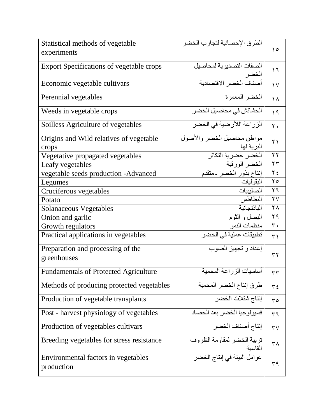| Statistical methods of vegetable                  | الطرق الإحصائية لتجارب الخضر          |                        |
|---------------------------------------------------|---------------------------------------|------------------------|
| experiments                                       |                                       | ۱٥                     |
| <b>Export Specifications of vegetable crops</b>   | الصفات التصديرية لمحاصيل              |                        |
|                                                   |                                       | $\overline{1}$         |
| Economic vegetable cultivars                      | الخضر<br>أصناف الخضر الاقتصادية       | $\vee$                 |
| Perennial vegetables                              | الخضر المعمرة                         |                        |
|                                                   |                                       | ١٨                     |
| Weeds in vegetable crops                          | الحشائش في محاصيل الخضر               | 19                     |
| Soilless Agriculture of vegetables                | الزراعة اللأرضية في الخضر             | ٢.                     |
| Origins and Wild relatives of vegetable           | مواطن محاصيل الخضر والأصول            | ۲١                     |
| crops                                             | البرية لها                            |                        |
| Vegetative propagated vegetables                  | الخضر خضرية التكاثر<br>الخضر الورقية  | $\gamma$               |
| Leafy vegetables                                  |                                       | $\mathbf{r}$           |
| vegetable seeds production -Advanced              | إنتاج بذور الخضر ـ متقدم              | $\gamma$ {             |
| Legumes                                           | البقو ليات                            | م ۲                    |
| Cruciferous vegetables                            | الصليبيات                             | ۲٦                     |
| Potato                                            | البطاطس                               | $\mathsf{Y}\mathsf{V}$ |
| <b>Solanaceous Vegetables</b>                     | الباذنجانية                           | $\mathsf{Y}\wedge$     |
| Onion and garlic                                  | البصل و الثوم                         | ۲۹                     |
| Growth regulators                                 | منظمات النمو                          | $\mathbf{r}$ .         |
| Practical applications in vegetables              | تطبيقات عملية في الخضر                | ۳١                     |
| Preparation and processing of the                 | إعداد وتجهيز الصوب                    |                        |
| greenhouses                                       |                                       | ۳۲                     |
| <b>Fundamentals of Protected Agriculture</b>      | أساسيات الزراعة المحمية               | ٣٣                     |
| Methods of producing protected vegetables         | طرق إنتاج الخضر المحمية               | $\tau$ {               |
| Production of vegetable transplants               | إنتاج شتلات الخضر                     | م ۳                    |
| Post - harvest physiology of vegetables           | فسيولوجيا الخضر بعد الحصاد            | ٣٦                     |
| Production of vegetables cultivars                | إنتاج أصناف الخضر                     | $\mathsf{r}\mathsf{v}$ |
| Breeding vegetables for stress resistance         | تربية الخضر لمقاومة الظروف<br>القاسبة | ۳۸                     |
| Environmental factors in vegetables<br>production | عوامل البيئة في إنتاج الخضر           | ۳۹                     |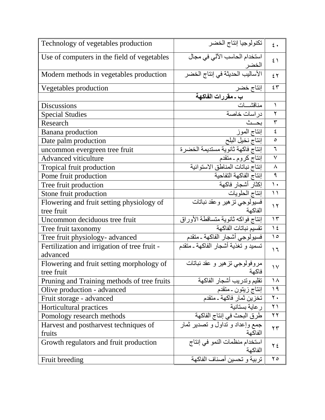| Technology of vegetables production          | تكنولوجيا إنتاج الخضر                     | $\epsilon$ .      |
|----------------------------------------------|-------------------------------------------|-------------------|
| Use of computers in the field of vegetables  | استخدام الحاسب الآلي في مجال              | $\mathfrak{z}$    |
| Modern methods in vegetables production      | الخضر<br>الأساليب الحديثة في إنتاج الخضر  | ٤٢                |
| Vegetables production                        | إنتاج خضر                                 | $\epsilon$ $\tau$ |
|                                              | ب ـ مقررات الفاكهة                        |                   |
| <b>Discussions</b>                           | مناقشات                                   | ١                 |
| <b>Special Studies</b>                       | دراسات خاصة                               | ٢                 |
| Research                                     | بحث                                       | $\mathbf{r}$      |
| Banana production                            | إنتاج الموز                               | ٤                 |
| Date palm production                         | إنتاج نخيل البلح                          | $\circ$           |
| uncommon evergreen tree fruit                | <u>أنتاج فاكم</u> ة ثانوية مستديمة الخضرة | ٦                 |
| <b>Advanced viticulture</b>                  | إنتاج كروم ـ متقدم                        | $\checkmark$      |
| Tropical fruit production                    | إنتاج نباتات المناطق الاستوائية           | $\lambda$         |
| Pome fruit production                        | إنتاج الفاكهة التفاحية                    | ٩                 |
| Tree fruit production                        | إكثار أشجار فاكهة                         | $\mathcal{L}$     |
| Stone fruit production                       | إنتاج الحلويات                            | $\setminus$       |
| Flowering and fruit setting physiology of    | فسيولوجي تزهير وعقد نباتات                | $\gamma$          |
| tree fruit                                   | الفاكهة                                   |                   |
| Uncommon deciduous tree fruit                | إنتاج فواكه ثانوية متساقطة الأوراق        | $\gamma$          |
| Tree fruit taxonomy                          | تقسيم نباتات الفاكهة                      | $\frac{1}{2}$     |
| Tree fruit physiology- advanced              | فسيولوجي أشجار الفاكهة ـ متقدم            | $\Omega$          |
| Fertilization and irrigation of tree fruit - | تسميد و تغذية أشجار الفاكهة ـ متقدم       | ۲ (               |
| advanced                                     |                                           |                   |
| Flowering and fruit setting morphology of    | مروفولوجي تزهير و عقد نباتات              | $\sqrt{}$         |
| tree fruit                                   | فاكهة                                     |                   |
| Pruning and Training methods of tree fruits  | تقليم وتدريب أشجار الفاكهة                | ۱۸                |
| Olive production - advanced                  | إنتاج زيتون ـ متقدم                       | $\eta$            |
| Fruit storage - advanced                     | تخزّين ثمار فاكهة ـ متقدم                 | $\mathbf{r}$ .    |
| Horticultural practices                      | ر عاية بستانية                            | ۲۱                |
| Pomology research methods                    | طرق البحث في إنتاج الفاكهة                | ۲۲                |
| Harvest and postharvest techniques of        | جمع وإعداد و نداول و تصدير ثمار           | ۲۳                |
| fruits                                       | الفاكهة                                   |                   |
| Growth regulators and fruit production       | استخدام منظمات النمو في إنتاج<br>الفاكهة  | $Y \xi$           |
| Fruit breeding                               | تربية و تحسين أصناف الفاكهة               | $\mathsf{Y}\circ$ |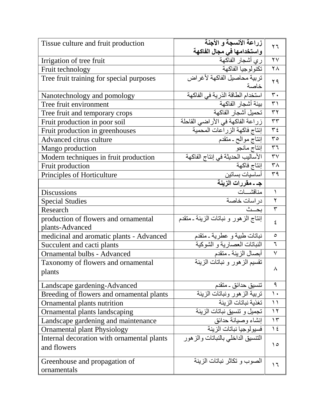| Tissue culture and fruit production        | زراعة الأنسجة و الأجنة                                  | ٢٦                      |
|--------------------------------------------|---------------------------------------------------------|-------------------------|
|                                            | واستخدامها في مجال الفاكهة                              |                         |
| Irrigation of tree fruit                   | ري أشجار الفاكهة                                        | $\overline{Y}V$         |
| Fruit technology                           | تكنولوجيا الفاكهة                                       | $\overline{\Upsilon}$   |
| Tree fruit training for special purposes   | تربية محاصبل الفاكهة لأغراض                             | ۲۹                      |
|                                            | خاصة                                                    |                         |
| Nanotechnology and pomology                | استخدام الطاقة الذرية في الفاكهة                        | $\overline{\mathbf{r}}$ |
| Tree fruit environment                     | بيئة أشجار الفاكهة                                      | $\overline{\tau}$       |
| Tree fruit and temporary crops             | تحميل أشجار الفاكهة                                     | $\overline{Y}$          |
| Fruit production in poor soil              | زراعة الفاكهة في الأراضي القاحلة                        | $\overline{\tau\tau}$   |
| Fruit production in greenhouses            | إنتاج فاكهة الزراعات المحمية                            | $\overline{\tau}$       |
| Advanced citrus culture                    | إنتاج موالح ـ متقدم                                     | $\overline{\mathbf{r}}$ |
| Mango production                           |                                                         | $\overline{\tau}$       |
| Modern techniques in fruit production      | إنتاج مانجو<br>الأساليب الحديثة في إنتاج الفاكهة        | $\mathsf{r}\mathsf{v}$  |
| Fruit production                           | إنتاج فاكهة                                             | ٣٨                      |
| Principles of Horticulture                 | أساسيات بساتين                                          | $\overline{r}$          |
|                                            | <mark>جـ ـ مقررات الزينـة</mark><br>مناقشــــات         |                         |
| <b>Discussions</b>                         |                                                         | $\lambda$               |
| <b>Special Studies</b>                     | دراسات خاصة                                             | $\overline{\mathbf{r}}$ |
| Research                                   | بحث                                                     | $\overline{\mathsf{r}}$ |
| production of flowers and ornamental       | إنتاج الزهور و نباتات الزينة ـ متقدم                    | ٤                       |
| plants-Advanced                            |                                                         |                         |
| medicinal and aromatic plants - Advanced   | نباتات طبية و عطرية ـ متقدم                             | $\circ$                 |
| Succulent and cacti plants                 | النباتات العصارية و الشوكية                             | ٦                       |
| Ornamental bulbs - Advanced                | أبصال الزينة ـ متقدم                                    | $\overline{\vee}$       |
| Taxonomy of flowers and ornamental         | تقسيم الزهور و نباتات الزينة                            |                         |
| plants                                     |                                                         | ٨                       |
| Landscape gardening-Advanced               |                                                         | ٩                       |
| Breeding of flowers and ornamental plants  | ـ نتسيق حدائق ـ منقدم<br>ـ تربية الز هور ونباتات الزينة | $\mathcal{L}$           |
| Ornamental plants nutrition                | تغذية نباتات الزينة                                     | $\setminus$             |
| Ornamental plants landscaping              | تجميل وتتسبق نباتات الزينة                              | $\gamma$                |
| Landscape gardening and maintenance        | إنشاء وصيانة حدائق                                      | $\gamma$                |
| Ornamental plant Physiology                | فسيولوجيا نباتات الزينة                                 | $\frac{1}{2}$           |
| Internal decoration with ornamental plants | التنسيق الداخلي بالنباتات والزهور                       |                         |
| and flowers                                |                                                         | ه ۱                     |
|                                            |                                                         |                         |
| Greenhouse and propagation of              | الصوب و تكاثر نباتات الزينة                             | ۲ (                     |
| ornamentals                                |                                                         |                         |